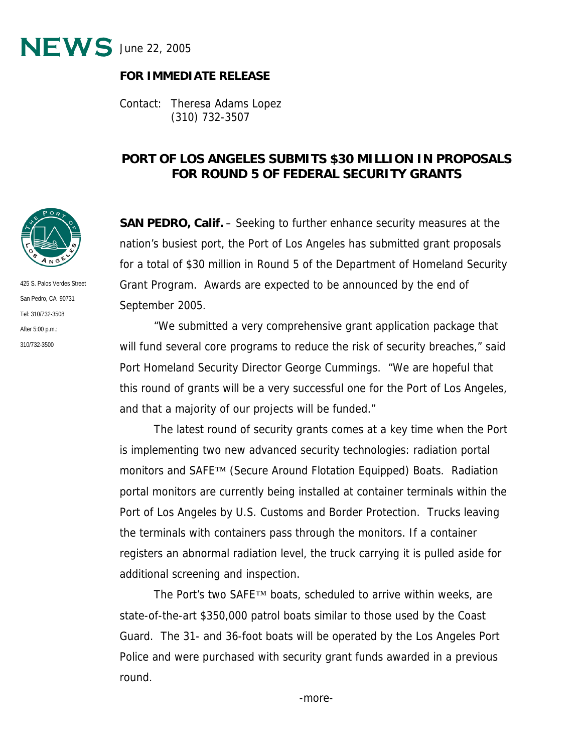

## **FOR IMMEDIATE RELEASE**

Contact: Theresa Adams Lopez (310) 732-3507

## **PORT OF LOS ANGELES SUBMITS \$30 MILLION IN PROPOSALS FOR ROUND 5 OF FEDERAL SECURITY GRANTS**

**SAN PEDRO, Calif.** – Seeking to further enhance security measures at the nation's busiest port, the Port of Los Angeles has submitted grant proposals for a total of \$30 million in Round 5 of the Department of Homeland Security Grant Program. Awards are expected to be announced by the end of September 2005.

"We submitted a very comprehensive grant application package that will fund several core programs to reduce the risk of security breaches," said Port Homeland Security Director George Cummings. "We are hopeful that this round of grants will be a very successful one for the Port of Los Angeles, and that a majority of our projects will be funded."

The latest round of security grants comes at a key time when the Port is implementing two new advanced security technologies: radiation portal monitors and SAFE™ (Secure Around Flotation Equipped) Boats. Radiation portal monitors are currently being installed at container terminals within the Port of Los Angeles by U.S. Customs and Border Protection. Trucks leaving the terminals with containers pass through the monitors. If a container registers an abnormal radiation level, the truck carrying it is pulled aside for additional screening and inspection.

The Port's two SAFE™ boats, scheduled to arrive within weeks, are state-of-the-art \$350,000 patrol boats similar to those used by the Coast Guard. The 31- and 36-foot boats will be operated by the Los Angeles Port Police and were purchased with security grant funds awarded in a previous round.



425 S. Palos Verdes Street San Pedro, CA 90731 Tel: 310/732-3508 After 5:00 p.m.: 310/732-3500